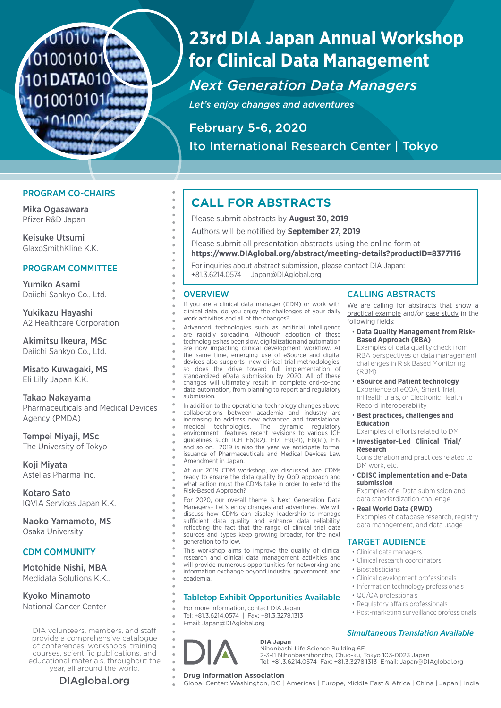# 1010101 1010010101 1101DATA010 101001010

# **23rd DIA Japan Annual Workshop for Clinical Data Management**

## *Next Generation Data Managers*

*Let's enjoy changes and adventures*

February 5-6, 2020 Ito International Research Center | Tokyo

## PROGRAM CO-CHAIRS

Mika Ogasawara Pfizer R&D Japan

Keisuke Utsumi GlaxoSmithKline K.K.

## PROGRAM COMMITTEE

Yumiko Asami Daiichi Sankyo Co., Ltd.

Yukikazu Hayashi A2 Healthcare Corporation

Akimitsu Ikeura, MSc Daiichi Sankyo Co., Ltd.

Misato Kuwagaki, MS Eli Lilly Japan K.K.

Takao Nakayama Pharmaceuticals and Medical Devices Agency (PMDA)

Tempei Miyaji, MSc The University of Tokyo

Koji Miyata Astellas Pharma Inc.

Kotaro Sato IQVIA Services Japan K.K.

Naoko Yamamoto, MS Osaka University

## CDM COMMUNITY

Motohide Nishi, MBA Medidata Solutions K.K..

## Kyoko Minamoto

National Cancer Center

DIA volunteers, members, and staff provide a comprehensive catalogue of conferences, workshops, training courses, scientific publications, and educational materials, throughout the year, all around the world.

## **CALL FOR ABSTRACTS**

- Please submit abstracts by **August 30, 2019**
- Authors will be notified by **September 27, 2019**
- Please submit all presentation abstracts using the online form at

**https://www.DIAglobal.org/abstract/meeting-details?productID=8377116**

For inquiries about abstract submission, please contact DIA Japan: +81.3.6214.0574 | Japan@DIAglobal.org

## **OVERVIEW**

If you are a clinical data manager (CDM) or work with clinical data, do you enjoy the challenges of your daily work activities and all of the changes?

Advanced technologies such as artificial intelligence are rapidly spreading. Although adoption of these technologies has been slow, digitalization and automation are now impacting clinical development workflow. At the same time, emerging use of eSource and digital devices also supports new clinical trial methodologies; so does the drive toward full implementation of standardized eData submission by 2020. All of these changes will ultimately result in complete end-to-end data automation, from planning to report and regulatory submission.

In addition to the operational technology changes above, collaborations between academia and industry are increasing to address new advanced and translational medical technologies. The dynamic regulatory environment features recent revisions to various ICH guidelines such ICH E6(R2), E17, E9(R1), E8(R1), E19 and so on. 2019 is also the year we anticipate formal issuance of Pharmaceuticals and Medical Devices Law Amendment in Japan.

At our 2019 CDM workshop, we discussed Are CDMs ready to ensure the data quality by QbD approach and what action must the CDMs take in order to extend the Risk-Based Approach?

For 2020, our overall theme is Next Generation Data Managers– Let's enjoy changes and adventures. We will discuss how CDMs can display leadership to manage sufficient data quality and enhance data reliability, reflecting the fact that the range of clinical trial data sources and types keep growing broader, for the next generation to follow.

This workshop aims to improve the quality of clinical research and clinical data management activities and will provide numerous opportunities for networking and information exchange beyond industry, government, and academia.

## Tabletop Exhibit Opportunities Available

For more information, contact DIA Japan Tel: +81.3.6214.0574 | Fax: +81.3.3278.1313 Email: Japan@DIAglobal.org



## **DIA Japan**

Nihonbashi Life Science Building 6F, 2-3-11 Nihonbashihoncho, Chuo-ku, Tokyo 103-0023 Japan Tel: +81.3.6214.0574 Fax: +81.3.3278.1313 Email: Japan@DIAglobal.org

**DIAglobal.org Drug Information Association**<br>
Global Center: Washington, DC | Americas | Europe, Middle East & Africa | China | Japan | India

## CALLING ABSTRACTS

We are calling for abstracts that show a practical example and/or case study in the following fields:

• **Data Quality Management from Risk-Based Approach (RBA)**

Examples of data quality check from RBA perspectives or data management challenges in Risk Based Monitoring (RBM)

- **eSource and Patient technology** Experience of eCOA, Smart Trial, mHealth trials, or Electronic Health Record interoperability
- **Best practices, challenges and Education**

Examples of efforts related to DM

**• Investigator-Led Clinical Trial/ Research**

Consideration and practices related to DM work, etc.

• **CDISC implementation and e-Data submission**

Examples of e-Data submission and data standardization challenge

• **Real World Data (RWD)**  Examples of database research, registry data management, and data usage

## TARGET AUDIENCE

- Clinical data managers
- Clinical research coordinators
- Biostatisticians
- Clinical development professionals
- Information technology professionals
- QC/QA professionals
- Regulatory affairs professionals
- Post-marketing surveillance professionals

## *Simultaneous Translation Available*